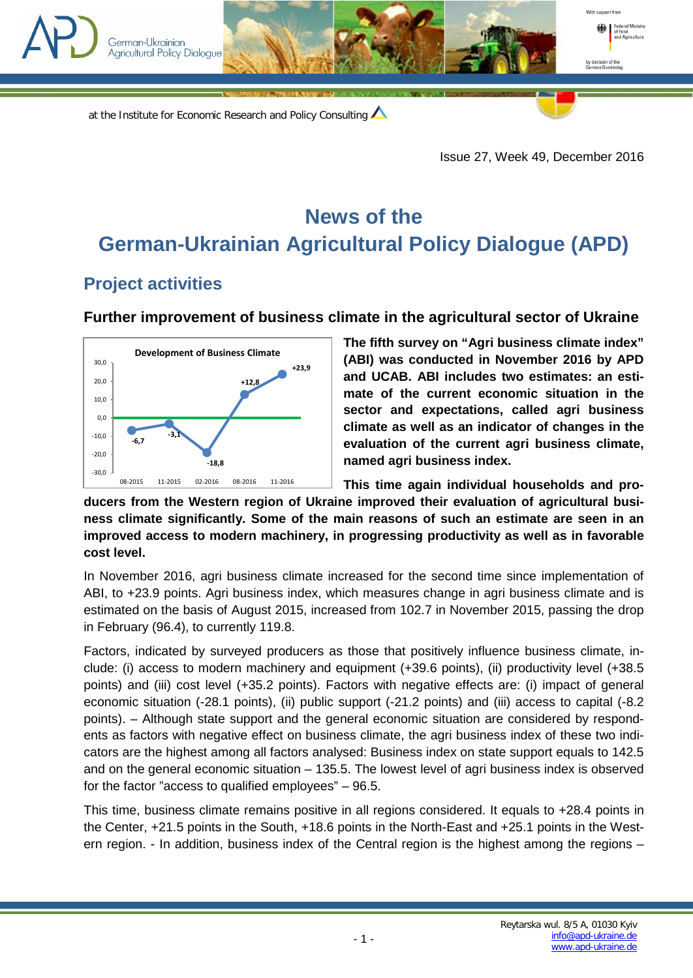

at the Institute for Economic Research and Policy Consulting

Issue 27, Week 49, December 2016

## **News of the German-Ukrainian Agricultural Policy Dialogue (APD)**

## **Project activities**

## **Further improvement of business climate in the agricultural sector of Ukraine**



**The fifth survey on "Agri business climate index" (ABI) was conducted in November 2016 by APD and UCAB. ABI includes two estimates: an estimate of the current economic situation in the sector and expectations, called agri business climate as well as an indicator of changes in the evaluation of the current agri business climate, named agri business index.**

**This time again individual households and producers from the Western region of Ukraine improved their evaluation of agricultural business climate significantly. Some of the main reasons of such an estimate are seen in an improved access to modern machinery, in progressing productivity as well as in favorable cost level.** 

In November 2016, agri business climate increased for the second time since implementation of ABI, to +23.9 points. Agri business index, which measures change in agri business climate and is estimated on the basis of August 2015, increased from 102.7 in November 2015, passing the drop in February (96.4), to currently 119.8.

Factors, indicated by surveyed producers as those that positively influence business climate, include: (i) access to modern machinery and equipment (+39.6 points), (ii) productivity level (+38.5 points) and (iii) cost level (+35.2 points). Factors with negative effects are: (i) impact of general economic situation (-28.1 points), (ii) public support (-21.2 points) and (iii) access to capital (-8.2 points). – Although state support and the general economic situation are considered by respondents as factors with negative effect on business climate, the agri business index of these two indicators are the highest among all factors analysed: Business index on state support equals to 142.5 and on the general economic situation – 135.5. The lowest level of agri business index is observed for the factor "access to qualified employees" – 96.5.

This time, business climate remains positive in all regions considered. It equals to +28.4 points in the Center, +21.5 points in the South, +18.6 points in the North-East and +25.1 points in the Western region. - In addition, business index of the Central region is the highest among the regions –